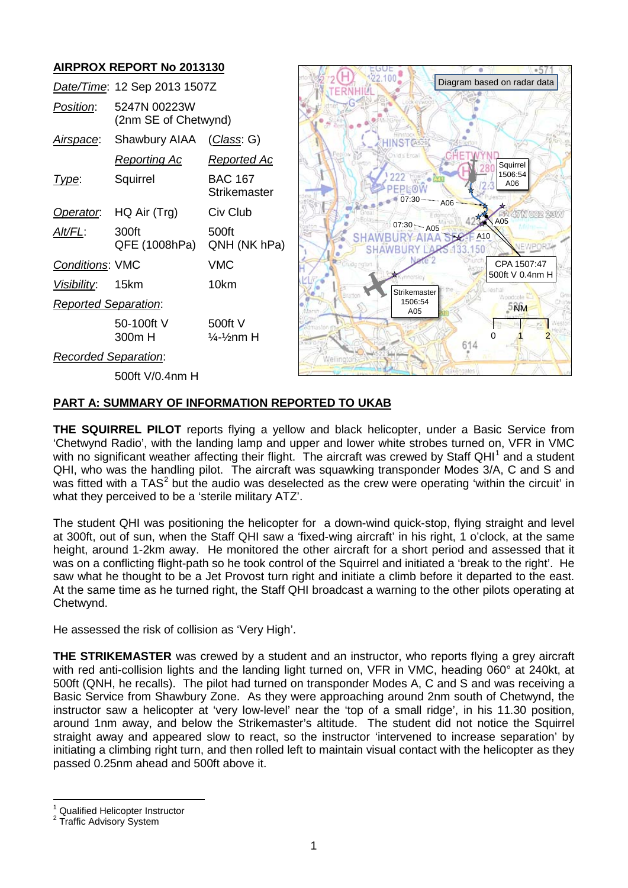## **AIRPROX REPORT No 2013130**

|                             | Date/Time: 12 Sep 2013 1507Z         |                                               | Diagram based on radar data                    |
|-----------------------------|--------------------------------------|-----------------------------------------------|------------------------------------------------|
| Position:                   | 5247N 00223W<br>(2nm SE of Chetwynd) |                                               |                                                |
| Airspace:                   | Shawbury AIAA                        | (Class: G)                                    | HINST <sub>(A529)</sub>                        |
|                             | <b>Reporting Ac</b>                  | <b>Reported Ac</b>                            | hid's Ercal<br>Squirrel                        |
| Type:                       | Squirrel                             | <b>BAC 167</b><br>Strikemaster                | 1506:54<br>A06<br>PFPI:<br>07:30<br><b>A06</b> |
| Operator.                   | HQ Air (Trg)                         | Civ Club                                      | A05                                            |
| Alt/FL:                     | 300ft<br>QFE (1008hPa)               | 500ft<br>QNH (NK hPa)                         | 07:30 A05<br>A10<br>EWPOR<br>50                |
| Conditions: VMC             |                                      | <b>VMC</b>                                    | CPA 1507:47<br>500ft V 0.4nm H                 |
| <u>Visibility:</u>          | 15km                                 | 10km                                          | Strikemaster                                   |
| <b>Reported Separation:</b> |                                      |                                               | Bratton<br>Woodcole<br>1506:54<br>5NM<br>A05   |
|                             | 50-100ft V<br>300m H                 | 500ft V<br>$\frac{1}{4}$ - $\frac{1}{2}$ nm H | dmaston e<br>614                               |
| <b>Recorded Separation:</b> |                                      |                                               |                                                |
|                             | 500ft V/0.4nm H                      |                                               |                                                |

 $\sim$   $\mu$   $\sim$  EGOE  $\sim$ 

 $-574$   $\lambda$ 

 $\sim$ 

#### **PART A: SUMMARY OF INFORMATION REPORTED TO UKAB**

**THE SQUIRREL PILOT** reports flying a yellow and black helicopter, under a Basic Service from 'Chetwynd Radio', with the landing lamp and upper and lower white strobes turned on, VFR in VMC with no significant weather affecting their flight. The aircraft was crewed by Staff QHI<sup>[1](#page-0-0)</sup> and a student QHI, who was the handling pilot. The aircraft was squawking transponder Modes 3/A, C and S and was fitted with a  $TAS<sup>2</sup>$  $TAS<sup>2</sup>$  $TAS<sup>2</sup>$  but the audio was deselected as the crew were operating 'within the circuit' in what they perceived to be a 'sterile military ATZ'.

The student QHI was positioning the helicopter for a down-wind quick-stop, flying straight and level at 300ft, out of sun, when the Staff QHI saw a 'fixed-wing aircraft' in his right, 1 o'clock, at the same height, around 1-2km away. He monitored the other aircraft for a short period and assessed that it was on a conflicting flight-path so he took control of the Squirrel and initiated a 'break to the right'. He saw what he thought to be a Jet Provost turn right and initiate a climb before it departed to the east. At the same time as he turned right, the Staff QHI broadcast a warning to the other pilots operating at Chetwynd.

He assessed the risk of collision as 'Very High'.

**THE STRIKEMASTER** was crewed by a student and an instructor, who reports flying a grey aircraft with red anti-collision lights and the landing light turned on, VFR in VMC, heading 060° at 240kt, at 500ft (QNH, he recalls). The pilot had turned on transponder Modes A, C and S and was receiving a Basic Service from Shawbury Zone. As they were approaching around 2nm south of Chetwynd, the instructor saw a helicopter at 'very low-level' near the 'top of a small ridge', in his 11.30 position, around 1nm away, and below the Strikemaster's altitude. The student did not notice the Squirrel straight away and appeared slow to react, so the instructor 'intervened to increase separation' by initiating a climbing right turn, and then rolled left to maintain visual contact with the helicopter as they passed 0.25nm ahead and 500ft above it.

<span id="page-0-1"></span><span id="page-0-0"></span> $1$  Qualified Helicopter Instructor<br>  $2$  Traffic Advisory System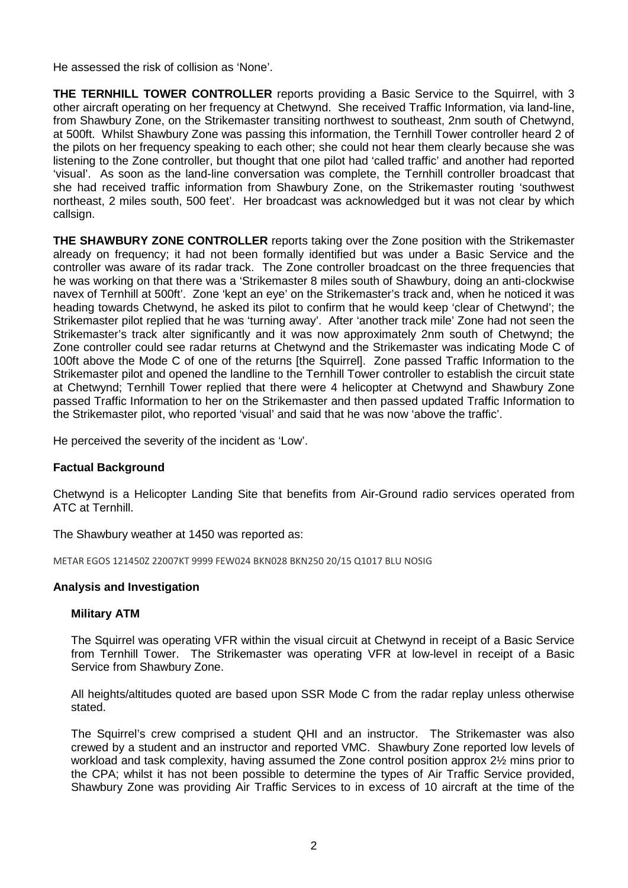He assessed the risk of collision as 'None'.

**THE TERNHILL TOWER CONTROLLER** reports providing a Basic Service to the Squirrel, with 3 other aircraft operating on her frequency at Chetwynd. She received Traffic Information, via land-line, from Shawbury Zone, on the Strikemaster transiting northwest to southeast, 2nm south of Chetwynd, at 500ft. Whilst Shawbury Zone was passing this information, the Ternhill Tower controller heard 2 of the pilots on her frequency speaking to each other; she could not hear them clearly because she was listening to the Zone controller, but thought that one pilot had 'called traffic' and another had reported 'visual'. As soon as the land-line conversation was complete, the Ternhill controller broadcast that she had received traffic information from Shawbury Zone, on the Strikemaster routing 'southwest northeast, 2 miles south, 500 feet'. Her broadcast was acknowledged but it was not clear by which callsign.

**THE SHAWBURY ZONE CONTROLLER** reports taking over the Zone position with the Strikemaster already on frequency; it had not been formally identified but was under a Basic Service and the controller was aware of its radar track. The Zone controller broadcast on the three frequencies that he was working on that there was a 'Strikemaster 8 miles south of Shawbury, doing an anti-clockwise navex of Ternhill at 500ft'. Zone 'kept an eye' on the Strikemaster's track and, when he noticed it was heading towards Chetwynd, he asked its pilot to confirm that he would keep 'clear of Chetwynd'; the Strikemaster pilot replied that he was 'turning away'. After 'another track mile' Zone had not seen the Strikemaster's track alter significantly and it was now approximately 2nm south of Chetwynd; the Zone controller could see radar returns at Chetwynd and the Strikemaster was indicating Mode C of 100ft above the Mode C of one of the returns [the Squirrel]. Zone passed Traffic Information to the Strikemaster pilot and opened the landline to the Ternhill Tower controller to establish the circuit state at Chetwynd; Ternhill Tower replied that there were 4 helicopter at Chetwynd and Shawbury Zone passed Traffic Information to her on the Strikemaster and then passed updated Traffic Information to the Strikemaster pilot, who reported 'visual' and said that he was now 'above the traffic'.

He perceived the severity of the incident as 'Low'.

#### **Factual Background**

Chetwynd is a Helicopter Landing Site that benefits from Air-Ground radio services operated from ATC at Ternhill.

The Shawbury weather at 1450 was reported as:

METAR EGOS 121450Z 22007KT 9999 FEW024 BKN028 BKN250 20/15 Q1017 BLU NOSIG

#### **Analysis and Investigation**

#### **Military ATM**

The Squirrel was operating VFR within the visual circuit at Chetwynd in receipt of a Basic Service from Ternhill Tower. The Strikemaster was operating VFR at low-level in receipt of a Basic Service from Shawbury Zone.

All heights/altitudes quoted are based upon SSR Mode C from the radar replay unless otherwise stated.

The Squirrel's crew comprised a student QHI and an instructor. The Strikemaster was also crewed by a student and an instructor and reported VMC. Shawbury Zone reported low levels of workload and task complexity, having assumed the Zone control position approx 2½ mins prior to the CPA; whilst it has not been possible to determine the types of Air Traffic Service provided, Shawbury Zone was providing Air Traffic Services to in excess of 10 aircraft at the time of the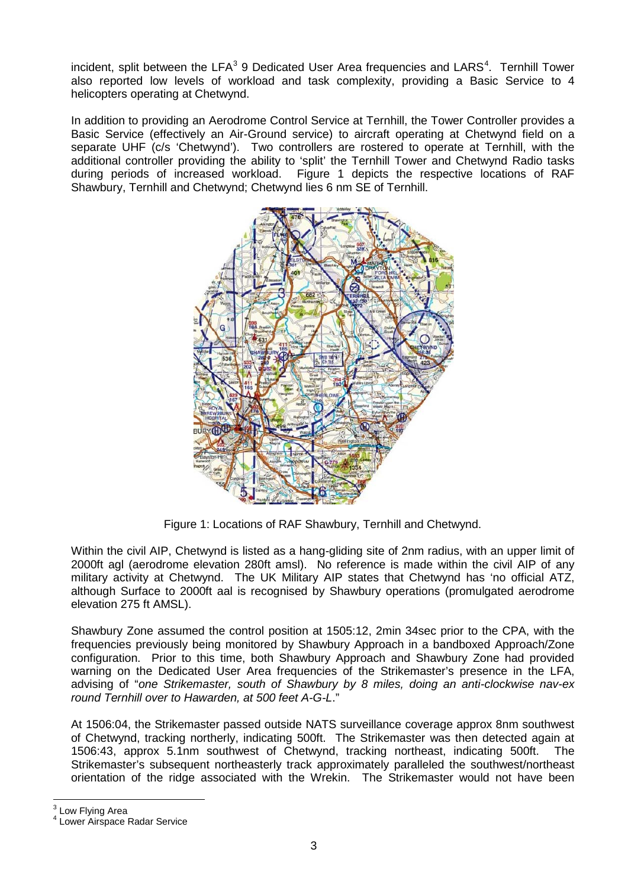incident, split between the LFA<sup>[3](#page-2-0)</sup> 9 Dedicated User Area frequencies and LARS<sup>[4](#page-2-1)</sup>. Ternhill Tower also reported low levels of workload and task complexity, providing a Basic Service to 4 helicopters operating at Chetwynd.

In addition to providing an Aerodrome Control Service at Ternhill, the Tower Controller provides a Basic Service (effectively an Air-Ground service) to aircraft operating at Chetwynd field on a separate UHF (c/s 'Chetwynd'). Two controllers are rostered to operate at Ternhill, with the additional controller providing the ability to 'split' the Ternhill Tower and Chetwynd Radio tasks during periods of increased workload. Figure 1 depicts the respective locations of RAF Shawbury, Ternhill and Chetwynd; Chetwynd lies 6 nm SE of Ternhill.



Figure 1: Locations of RAF Shawbury, Ternhill and Chetwynd.

Within the civil AIP, Chetwynd is listed as a hang-gliding site of 2nm radius, with an upper limit of 2000ft agl (aerodrome elevation 280ft amsl). No reference is made within the civil AIP of any military activity at Chetwynd. The UK Military AIP states that Chetwynd has 'no official ATZ, although Surface to 2000ft aal is recognised by Shawbury operations (promulgated aerodrome elevation 275 ft AMSL).

Shawbury Zone assumed the control position at 1505:12, 2min 34sec prior to the CPA, with the frequencies previously being monitored by Shawbury Approach in a bandboxed Approach/Zone configuration. Prior to this time, both Shawbury Approach and Shawbury Zone had provided warning on the Dedicated User Area frequencies of the Strikemaster's presence in the LFA, advising of "*one Strikemaster, south of Shawbury by 8 miles, doing an anti-clockwise nav-ex round Ternhill over to Hawarden, at 500 feet A-G-L*."

At 1506:04, the Strikemaster passed outside NATS surveillance coverage approx 8nm southwest of Chetwynd, tracking northerly, indicating 500ft. The Strikemaster was then detected again at 1506:43, approx 5.1nm southwest of Chetwynd, tracking northeast, indicating 500ft. The Strikemaster's subsequent northeasterly track approximately paralleled the southwest/northeast orientation of the ridge associated with the Wrekin. The Strikemaster would not have been

<span id="page-2-1"></span><span id="page-2-0"></span> $3$  Low Flying Area<br> $4$  Lower Airspace Radar Service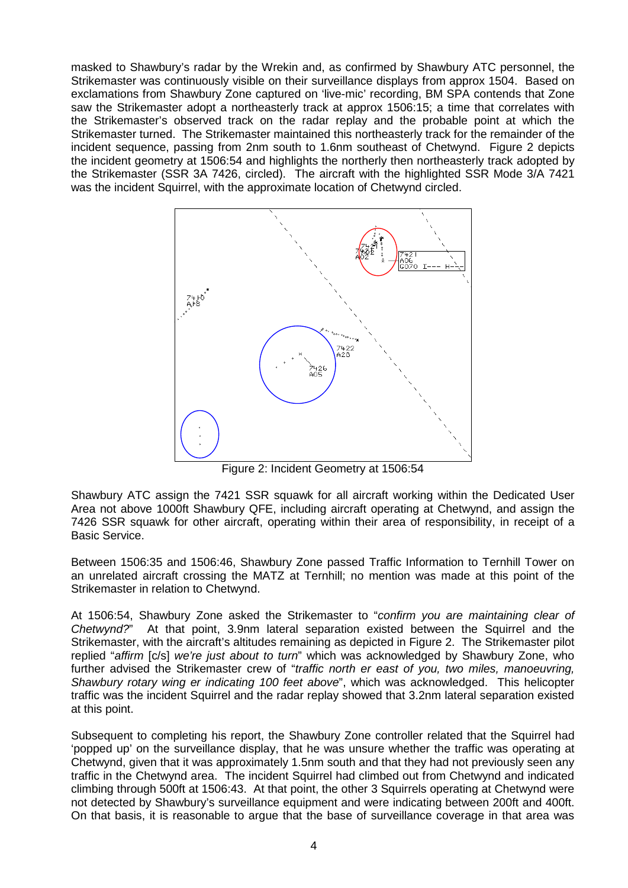masked to Shawbury's radar by the Wrekin and, as confirmed by Shawbury ATC personnel, the Strikemaster was continuously visible on their surveillance displays from approx 1504. Based on exclamations from Shawbury Zone captured on 'live-mic' recording, BM SPA contends that Zone saw the Strikemaster adopt a northeasterly track at approx 1506:15; a time that correlates with the Strikemaster's observed track on the radar replay and the probable point at which the Strikemaster turned. The Strikemaster maintained this northeasterly track for the remainder of the incident sequence, passing from 2nm south to 1.6nm southeast of Chetwynd. Figure 2 depicts the incident geometry at 1506:54 and highlights the northerly then northeasterly track adopted by the Strikemaster (SSR 3A 7426, circled). The aircraft with the highlighted SSR Mode 3/A 7421 was the incident Squirrel, with the approximate location of Chetwynd circled.



Figure 2: Incident Geometry at 1506:54

Shawbury ATC assign the 7421 SSR squawk for all aircraft working within the Dedicated User Area not above 1000ft Shawbury QFE, including aircraft operating at Chetwynd, and assign the 7426 SSR squawk for other aircraft, operating within their area of responsibility, in receipt of a Basic Service.

Between 1506:35 and 1506:46, Shawbury Zone passed Traffic Information to Ternhill Tower on an unrelated aircraft crossing the MATZ at Ternhill; no mention was made at this point of the Strikemaster in relation to Chetwynd.

At 1506:54, Shawbury Zone asked the Strikemaster to "*confirm you are maintaining clear of Chetwynd?*" At that point, 3.9nm lateral separation existed between the Squirrel and the Strikemaster, with the aircraft's altitudes remaining as depicted in Figure 2. The Strikemaster pilot replied "*affirm* [c/s] *we're just about to turn*" which was acknowledged by Shawbury Zone, who further advised the Strikemaster crew of "*traffic north er east of you, two miles, manoeuvring, Shawbury rotary wing er indicating 100 feet above*", which was acknowledged. This helicopter traffic was the incident Squirrel and the radar replay showed that 3.2nm lateral separation existed at this point.

Subsequent to completing his report, the Shawbury Zone controller related that the Squirrel had 'popped up' on the surveillance display, that he was unsure whether the traffic was operating at Chetwynd, given that it was approximately 1.5nm south and that they had not previously seen any traffic in the Chetwynd area. The incident Squirrel had climbed out from Chetwynd and indicated climbing through 500ft at 1506:43. At that point, the other 3 Squirrels operating at Chetwynd were not detected by Shawbury's surveillance equipment and were indicating between 200ft and 400ft. On that basis, it is reasonable to argue that the base of surveillance coverage in that area was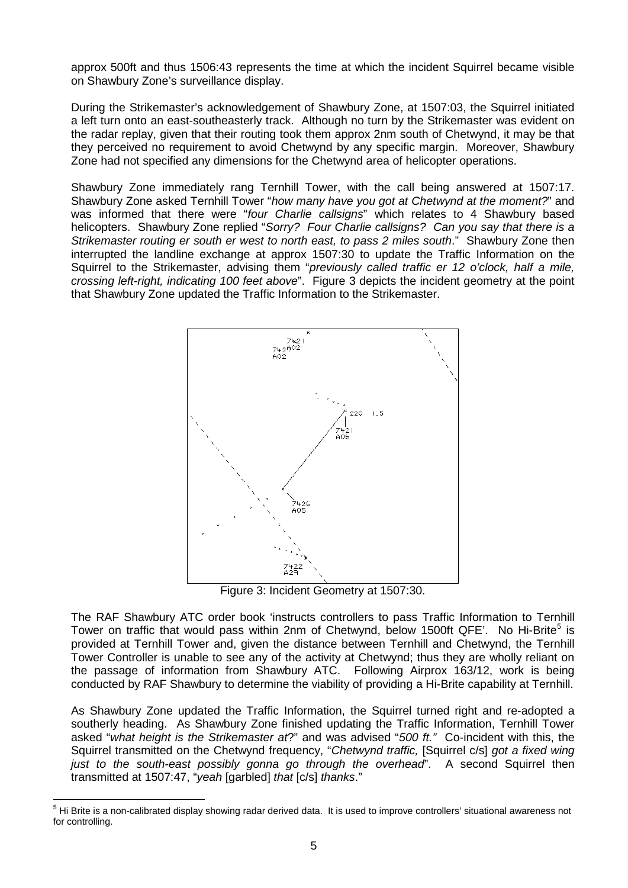approx 500ft and thus 1506:43 represents the time at which the incident Squirrel became visible on Shawbury Zone's surveillance display.

During the Strikemaster's acknowledgement of Shawbury Zone, at 1507:03, the Squirrel initiated a left turn onto an east-southeasterly track. Although no turn by the Strikemaster was evident on the radar replay, given that their routing took them approx 2nm south of Chetwynd, it may be that they perceived no requirement to avoid Chetwynd by any specific margin. Moreover, Shawbury Zone had not specified any dimensions for the Chetwynd area of helicopter operations.

Shawbury Zone immediately rang Ternhill Tower, with the call being answered at 1507:17. Shawbury Zone asked Ternhill Tower "*how many have you got at Chetwynd at the moment?*" and was informed that there were "*four Charlie callsigns*" which relates to 4 Shawbury based helicopters. Shawbury Zone replied "*Sorry? Four Charlie callsigns? Can you say that there is a Strikemaster routing er south er west to north east, to pass 2 miles south*." Shawbury Zone then interrupted the landline exchange at approx 1507:30 to update the Traffic Information on the Squirrel to the Strikemaster, advising them "*previously called traffic er 12 o'clock, half a mile, crossing left-right, indicating 100 feet above*". Figure 3 depicts the incident geometry at the point that Shawbury Zone updated the Traffic Information to the Strikemaster.



Figure 3: Incident Geometry at 1507:30.

The RAF Shawbury ATC order book 'instructs controllers to pass Traffic Information to Ternhill Tower on traffic that would pass within 2nm of Chetwynd, below 1[5](#page-4-0)00ft QFE'. No Hi-Brite<sup>5</sup> is provided at Ternhill Tower and, given the distance between Ternhill and Chetwynd, the Ternhill Tower Controller is unable to see any of the activity at Chetwynd; thus they are wholly reliant on the passage of information from Shawbury ATC. Following Airprox 163/12, work is being conducted by RAF Shawbury to determine the viability of providing a Hi-Brite capability at Ternhill.

As Shawbury Zone updated the Traffic Information, the Squirrel turned right and re-adopted a southerly heading. As Shawbury Zone finished updating the Traffic Information, Ternhill Tower asked "*what height is the Strikemaster at*?" and was advised "*500 ft."* Co-incident with this, the Squirrel transmitted on the Chetwynd frequency, "*Chetwynd traffic,* [Squirrel c/s] *got a fixed wing*  just to the south-east possibly gonna go through the overhead". A second Squirrel then transmitted at 1507:47, "*yeah* [garbled] *that* [c/s] *thanks*."

<span id="page-4-0"></span><sup>&</sup>lt;sup>5</sup> Hi Brite is a non-calibrated display showing radar derived data. It is used to improve controllers' situational awareness not for controlling.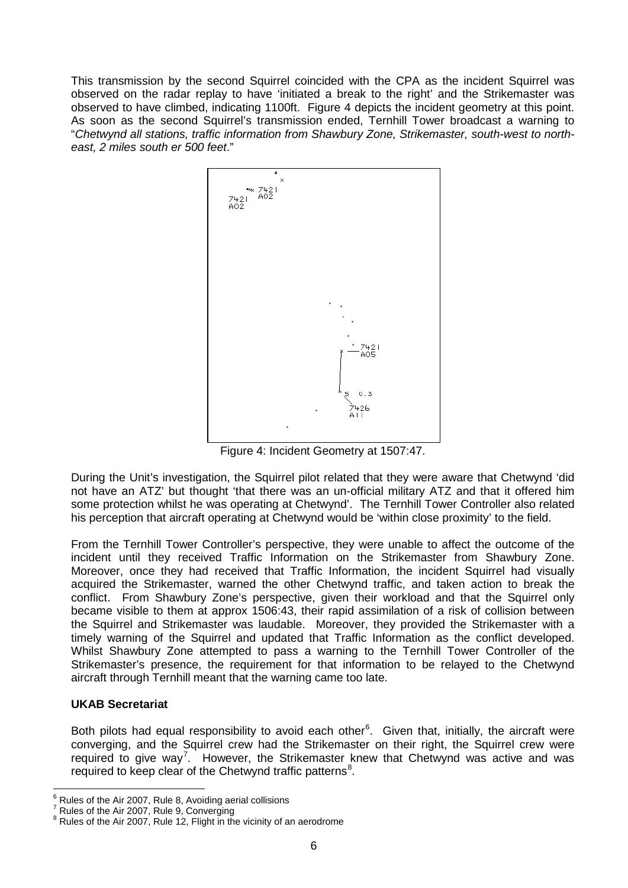This transmission by the second Squirrel coincided with the CPA as the incident Squirrel was observed on the radar replay to have 'initiated a break to the right' and the Strikemaster was observed to have climbed, indicating 1100ft. Figure 4 depicts the incident geometry at this point. As soon as the second Squirrel's transmission ended, Ternhill Tower broadcast a warning to "*Chetwynd all stations, traffic information from Shawbury Zone, Strikemaster, south-west to northeast, 2 miles south er 500 feet*."



Figure 4: Incident Geometry at 1507:47.

During the Unit's investigation, the Squirrel pilot related that they were aware that Chetwynd 'did not have an ATZ' but thought 'that there was an un-official military ATZ and that it offered him some protection whilst he was operating at Chetwynd'. The Ternhill Tower Controller also related his perception that aircraft operating at Chetwynd would be 'within close proximity' to the field.

From the Ternhill Tower Controller's perspective, they were unable to affect the outcome of the incident until they received Traffic Information on the Strikemaster from Shawbury Zone. Moreover, once they had received that Traffic Information, the incident Squirrel had visually acquired the Strikemaster, warned the other Chetwynd traffic, and taken action to break the conflict. From Shawbury Zone's perspective, given their workload and that the Squirrel only became visible to them at approx 1506:43, their rapid assimilation of a risk of collision between the Squirrel and Strikemaster was laudable. Moreover, they provided the Strikemaster with a timely warning of the Squirrel and updated that Traffic Information as the conflict developed. Whilst Shawbury Zone attempted to pass a warning to the Ternhill Tower Controller of the Strikemaster's presence, the requirement for that information to be relayed to the Chetwynd aircraft through Ternhill meant that the warning came too late.

# **UKAB Secretariat**

Both pilots had equal responsibility to avoid each other<sup>[6](#page-5-0)</sup>. Given that, initially, the aircraft were converging, and the Squirrel crew had the Strikemaster on their right, the Squirrel crew were required to give way<sup>[7](#page-6-0)</sup>. However, the Strikemaster knew that Chetwynd was active and was required to keep clear of the Chetwynd traffic patterns<sup>[8](#page-6-1)</sup>.

Rules of the Air 2007, Rule 8, Avoiding aerial collisions<br>Rules of the Air 2007, Rule 9, Converging

<span id="page-5-0"></span> $8$  Rules of the Air 2007, Rule 12, Flight in the vicinity of an aerodrome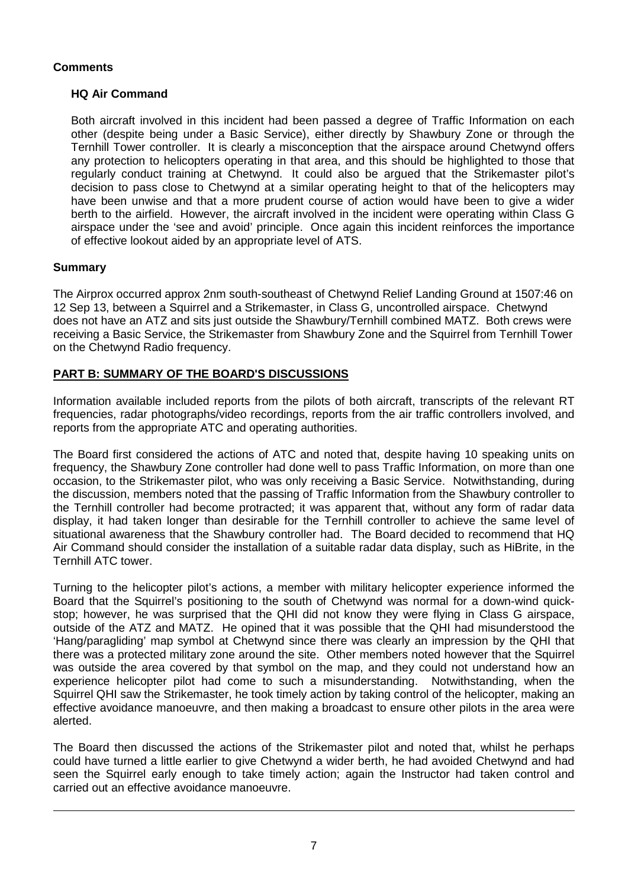# **Comments**

## **HQ Air Command**

Both aircraft involved in this incident had been passed a degree of Traffic Information on each other (despite being under a Basic Service), either directly by Shawbury Zone or through the Ternhill Tower controller. It is clearly a misconception that the airspace around Chetwynd offers any protection to helicopters operating in that area, and this should be highlighted to those that regularly conduct training at Chetwynd. It could also be argued that the Strikemaster pilot's decision to pass close to Chetwynd at a similar operating height to that of the helicopters may have been unwise and that a more prudent course of action would have been to give a wider berth to the airfield. However, the aircraft involved in the incident were operating within Class G airspace under the 'see and avoid' principle. Once again this incident reinforces the importance of effective lookout aided by an appropriate level of ATS.

### **Summary**

<span id="page-6-1"></span><span id="page-6-0"></span> $\overline{\phantom{a}}$ 

The Airprox occurred approx 2nm south-southeast of Chetwynd Relief Landing Ground at 1507:46 on 12 Sep 13, between a Squirrel and a Strikemaster, in Class G, uncontrolled airspace. Chetwynd does not have an ATZ and sits just outside the Shawbury/Ternhill combined MATZ. Both crews were receiving a Basic Service, the Strikemaster from Shawbury Zone and the Squirrel from Ternhill Tower on the Chetwynd Radio frequency.

# **PART B: SUMMARY OF THE BOARD'S DISCUSSIONS**

Information available included reports from the pilots of both aircraft, transcripts of the relevant RT frequencies, radar photographs/video recordings, reports from the air traffic controllers involved, and reports from the appropriate ATC and operating authorities.

The Board first considered the actions of ATC and noted that, despite having 10 speaking units on frequency, the Shawbury Zone controller had done well to pass Traffic Information, on more than one occasion, to the Strikemaster pilot, who was only receiving a Basic Service. Notwithstanding, during the discussion, members noted that the passing of Traffic Information from the Shawbury controller to the Ternhill controller had become protracted; it was apparent that, without any form of radar data display, it had taken longer than desirable for the Ternhill controller to achieve the same level of situational awareness that the Shawbury controller had. The Board decided to recommend that HQ Air Command should consider the installation of a suitable radar data display, such as HiBrite, in the Ternhill ATC tower.

Turning to the helicopter pilot's actions, a member with military helicopter experience informed the Board that the Squirrel's positioning to the south of Chetwynd was normal for a down-wind quickstop; however, he was surprised that the QHI did not know they were flying in Class G airspace, outside of the ATZ and MATZ. He opined that it was possible that the QHI had misunderstood the 'Hang/paragliding' map symbol at Chetwynd since there was clearly an impression by the QHI that there was a protected military zone around the site. Other members noted however that the Squirrel was outside the area covered by that symbol on the map, and they could not understand how an experience helicopter pilot had come to such a misunderstanding. Notwithstanding, when the Squirrel QHI saw the Strikemaster, he took timely action by taking control of the helicopter, making an effective avoidance manoeuvre, and then making a broadcast to ensure other pilots in the area were alerted.

The Board then discussed the actions of the Strikemaster pilot and noted that, whilst he perhaps could have turned a little earlier to give Chetwynd a wider berth, he had avoided Chetwynd and had seen the Squirrel early enough to take timely action; again the Instructor had taken control and carried out an effective avoidance manoeuvre.